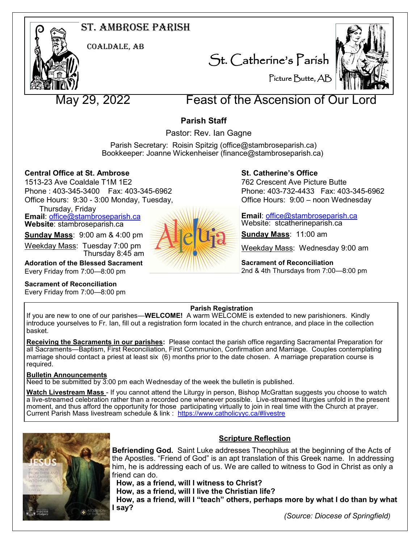# St. Ambrose Parish



Coaldale, AB

St. Catherine's Parish



Picture Butte, AB

# May 29, 2022 Feast of the Ascension of Our L

# **Parish Staff**

Pastor: Rev. Ian Gagne

 Parish Secretary: Roisin Spitzig (office@stambroseparish.ca) Bookkeeper: Joanne Wickenheiser (finance@stambroseparish.ca)

# **Central Office at St. Ambrose**

1513-23 Ave Coaldale T1M 1E2 Phone : 403-345-3400 Fax: 403-345-6962 Office Hours: 9:30 - 3:00 Monday, Tuesday,

Thursday, Friday

**Email**: office@stambroseparish.ca **Website**: stambroseparish.ca

**Sunday Mass**: 9:00 am & 4:00 pm

Weekday Mass: Tuesday 7:00 pm Thursday 8:45 am

**Adoration of the Blessed Sacrament** Every Friday from 7:00—8:00 pm

**Sacrament of Reconciliation**

Every Friday from 7:00—8:00 pm



# **St. Catherine's Office**

762 Crescent Ave Picture Butte Phone: 403-732-4433 Fax: 403-345-6962 Office Hours: 9:00 – noon Wednesday

**Email**: office@stambroseparish.ca Website: stcatherineparish.ca

**Sunday Mass**: 11:00 am

Weekday Mass: Wednesday 9:00 am

**Sacrament of Reconciliation** 2nd & 4th Thursdays from 7:00—8:00 pm

# **Parish Registration**

If you are new to one of our parishes—**WELCOME!** A warm WELCOME is extended to new parishioners. Kindly introduce yourselves to Fr. Ian, fill out a registration form located in the church entrance, and place in the collection basket.

**Receiving the Sacraments in our parishes:** Please contact the parish office regarding Sacramental Preparation for all Sacraments—Baptism, First Reconciliation, First Communion, Confirmation and Marriage. Couples contemplating marriage should contact a priest at least six (6) months prior to the date chosen. A marriage preparation course is required.

# **Bulletin Announcements**

Need to be submitted by 3:00 pm each Wednesday of the week the bulletin is published.

**Watch Livestream Mass** - If you cannot attend the Liturgy in person, Bishop McGrattan suggests you choose to watch a live-streamed celebration rather than a recorded one whenever possible. Live-streamed liturgies unfold in the present moment, and thus afford the opportunity for those participating virtually to join in real time with the Church at prayer. Current Parish Mass livestream schedule & link : https://www.catholicyyc.ca/#livestre



# **Scripture Reflection**

**Befriending God.** Saint Luke addresses Theophilus at the beginning of the Acts of the Apostles. "Friend of God" is an apt translation of this Greek name. In addressing him, he is addressing each of us. We are called to witness to God in Christ as only a friend can do.

 **How, as a friend, will I witness to Christ? How, as a friend, will I live the Christian life? How, as a friend, will I "teach" others, perhaps more by what I do than by what I say?**

 *(Source: Diocese of Springfield)*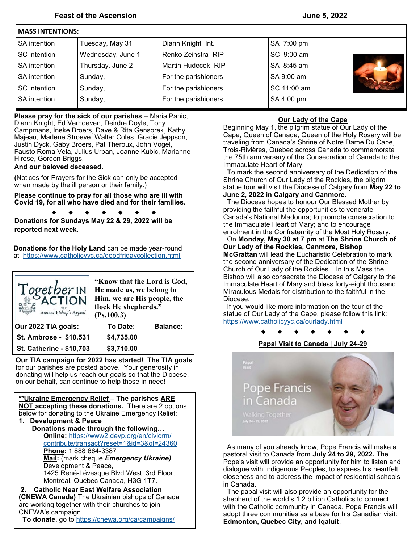| INIASS IN LENTIUNS: |                   |                      |             |  |  |  |  |
|---------------------|-------------------|----------------------|-------------|--|--|--|--|
| <b>SA</b> intention | Tuesday, May 31   | Diann Knight Int.    | SA 7:00 pm  |  |  |  |  |
| SC intention        | Wednesday, June 1 | Renko Zeinstra RIP   | SC 9:00 am  |  |  |  |  |
| <b>SA</b> intention | Thursday, June 2  | Martin Hudecek RIP   | SA 8:45 am  |  |  |  |  |
| <b>SA</b> intention | Sunday,           | For the parishioners | SA 9:00 am  |  |  |  |  |
| SC intention        | Sunday,           | For the parishioners | SC 11:00 am |  |  |  |  |
| <b>SA</b> intention | Sunday,           | For the parishioners | SA 4:00 pm  |  |  |  |  |
|                     |                   |                      |             |  |  |  |  |

**Please pray for the sick of our parishes** – Maria Panic,

 Diann Knight, Ed Verhoeven, Deirdre Doyle, Tony Campmans, Ineke Broers, Dave & Rita Gensorek, Kathy Majeau, Marlene Stroeve, Walter Coles, Gracie Jeppson, Justin Dyck, Gaby Broers, Pat Theroux, John Vogel, Fausto Roma Vela, Julius Urban, Joanne Kubic, Marianne Hirose, Gordon Briggs,

#### **And our beloved deceased.**

**Massey International Property** 

**(**Notices for Prayers for the Sick can only be accepted when made by the ill person or their family.)

**Please continue to pray for all those who are ill with Covid 19, for all who have died and for their families.**

> $\bullet$  $\bullet$  $\bullet$  $\bullet$

**Donations for Sundays May 22 & 29, 2022 will be reported next week.**

**Donations for the Holy Land** can be made year-round at <https://www.catholicyyc.ca/goodfridaycollection.html>



**Our TIA campaign for 2022 has started! The TIA goals**  for our parishes are posted above. Your generosity in donating will help us reach our goals so that the Diocese, on our behalf, can continue to help those in need!

**\*\*Ukraine Emergency Relief – The parishes ARE NOT accepting these donations.** There are 2 options below for donating to the Ukraine Emergency Relief: **1. Development & Peace Donations made through the following… Online:** [https://www2.devp.org/en/civicrm/](https://www2.devp.org/en/civicrm/contribute/transact?reset=1&id=3&gl=24360) [contribute/transact?reset=1&id=3&gl=24360](https://www2.devp.org/en/civicrm/contribute/transact?reset=1&id=3&gl=24360) **Phone:** 1 888 664-3387 **Mail:** (mark cheque *Emergency Ukraine)* Development & Peace, 1425 René-Lévesque Blvd West, 3rd Floor, Montréal, Québec Canada, H3G 1T7.

**2. Catholic Near East Welfare Association (CNEWA Canada)** The Ukrainian bishops of Canada are working together with their churches to join CNEWA's campaign.

**To donate**, go to [https://cnewa.org/ca/campaigns/](https://cnewa.org/ca/campaigns/ukraine/)

#### **Our Lady of the Cape**

Beginning May 1, the pilgrim statue of Our Lady of the Cape, Queen of Canada, Queen of the Holy Rosary will be traveling from Canada's Shrine of Notre Dame Du Cape, Trois-Rivières, Quebec across Canada to commemorate the 75th anniversary of the Consecration of Canada to the Immaculate Heart of Mary.

 To mark the second anniversary of the Dedication of the Shrine Church of Our Lady of the Rockies, the pilgrim statue tour will visit the Diocese of Calgary from **May 22 to June 2, 2022 in Calgary and Canmore.**

 The Diocese hopes to honour Our Blessed Mother by providing the faithful the opportunities to venerate Canada's National Madonna; to promote consecration to the Immaculate Heart of Mary; and to encourage enrolment in the Confraternity of the Most Holy Rosary.

 On **Monday, May 30 at 7 pm** at **The Shrine Church of Our Lady of the Rockies, Canmore, Bishop McGrattan** will lead the Eucharistic Celebration to mark the second anniversary of the Dedication of the Shrine Church of Our Lady of the Rockies. In this Mass the Bishop will also consecrate the Diocese of Calgary to the Immaculate Heart of Mary and bless forty-eight thousand Miraculous Medals for distribution to the faithful in the Diocese.

 If you would like more information on the tour of the statue of Our Lady of the Cape, please follow this link: <https://www.catholicyyc.ca/ourlady.html>

### **Papal Visit to Canada | July 24-29**



 As many of you already know, Pope Francis will make a pastoral visit to Canada from **July 24 to 29, 2022.** The Pope's visit will provide an opportunity for him to listen and dialogue with Indigenous Peoples, to express his heartfelt closeness and to address the impact of residential schools in Canada.

 The papal visit will also provide an opportunity for the shepherd of the world's 1.2 billion Catholics to connect with the Catholic community in Canada. Pope Francis will adopt three communities as a base for his Canadian visit: **Edmonton, Quebec City, and Iqaluit**.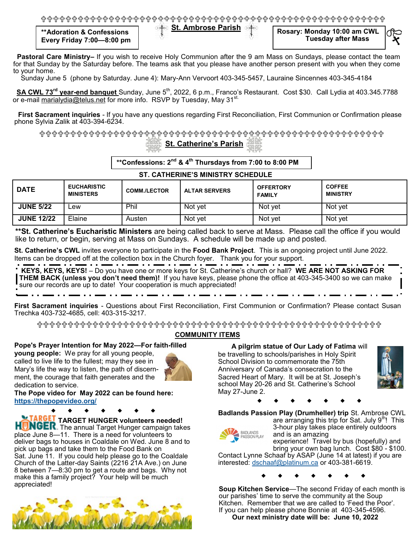**St. Ambrose Parish \*\*Adoration & Confessions Every Friday 7:00—8:00 pm**

**Rosary: Monday 10:00 am CWL Tuesday after Mass**

 **Pastoral Care Ministry–** If you wish to receive Holy Communion after the 9 am Mass on Sundays, please contact the team for that Sunday by the Saturday before. The teams ask that you please have another person present with you when they come to your home.

Sunday June 5 (phone by Saturday. June 4): Mary-Ann Vervoort 403-345-5457, Lauraine Sincennes 403-345-4184

 **SA CWL 73rd year-end banquet** Sunday, June 5th, 2022, 6 p.m., Franco's Restaurant. Cost \$30. Call Lydia at 403.345.7788 or e-mail [marialydia@telus.net](mailto:marialydia@telus.net) for more info. RSVP by Tuesday, May 31<sup>st.</sup>

 **First Sacrament inquiries** - If you have any questions regarding First Reconciliation, First Communion or Confirmation please phone Sylvia Zalik at 403-394-6234.

# **St. Catherine's Parish**

**\*\*Confessions: 2nd & 4th Thursdays from 7:00 to 8:00 PM**

### **ST. CATHERINE'S MINISTRY SCHEDULE**

| <b>DATE</b>       | <b>EUCHARISTIC</b><br><b>MINISTERS</b> | <b>COMM./LECTOR</b> | <b>ALTAR SERVERS</b> | <b>OFFERTORY</b><br><b>FAMILY</b> | <b>COFFEE</b><br><b>MINISTRY</b> |
|-------------------|----------------------------------------|---------------------|----------------------|-----------------------------------|----------------------------------|
| <b>JUNE 5/22</b>  | ∟ew                                    | Phil                | Not yet              | Not yet                           | Not yet                          |
| <b>JUNE 12/22</b> | Elaine                                 | Austen              | Not yet              | Not yet                           | Not yet                          |

**\*\*St. Catherine's Eucharistic Ministers** are being called back to serve at Mass. Please call the office if you would like to return, or begin, serving at Mass on Sundays. A schedule will be made up and posted.

**St. Catherine's CWL** invites everyone to participate in the **Food Bank Project**. This is an ongoing project until June 2022. Items can be dropped off at the collection box in the Church foyer. Thank you for your support.

**KEYS, KEYS!**  $-$  Do you have one or more keys for St. Catherine's church or hall? **WE ARE NOT ASKING FOR THEM BACK (unless you don't need them)!** If you have keys, please phone the office at 403-345-3400 so we can make sure our records are up to date! Your cooperation is much appreciated!

**First Sacrament inquiries** - Questions about First Reconciliation, First Communion or Confirmation? Please contact Susan Trechka 403-732-4685, cell: 403-315-3217.

# **COMMUNITY ITEMS**

#### **Pope's Prayer Intention for May 2022—For faith-filled**

**young people:** We pray for all young people, called to live life to the fullest; may they see in Mary's life the way to listen, the path of discernment, the courage that faith generates and the dedication to service.



**The Pope video for May 2022 can be found here: <https://thepopevideo.org/>**

**TARGET HUNGER volunteers needed! HUNGEK.** The annual Target Hunger campaign takes place June 8—11. There is a need for volunteers to deliver bags to houses in Coaldale on Wed. June 8 and to pick up bags and take them to the Food Bank on Sat. June 11. If you could help please go to the Coaldale Church of the Latter-day Saints (2216 21A Ave.) on June 8 between 7—8:30 pm to get a route and bags. Why not make this a family project? Your help will be much appreciated!



 **A pilgrim statue of Our Lady of Fatima** will be travelling to schools/parishes in Holy Spirit School Division to commemorate the 75th Anniversary of Canada's consecration to the Sacred Heart of Mary. It will be at St. Joseph's school May 20-26 and St. Catherine's School May 27-June 2.



**Badlands Passion Play (Drumheller) trip** St. Ambrose CWL



are arranging this trip for Sat. July  $9<sup>th</sup>$ ! This 3-hour play takes place entirely outdoors and is an amazing experience! Travel by bus (hopefully) and

bring your own bag lunch. Cost \$80 - \$100. Contact Lynne Schaaf by ASAP (June 14 at latest) if you are interested: [dschaaf@platinum.ca](mailto:dschaaf@platinum.ca) or 403-381-6619.

**Soup Kitchen Service**—The second Friday of each month is our parishes' time to serve the community at the Soup Kitchen. Remember that we are called to 'Feed the Poor'. If you can help please phone Bonnie at 403-345-4596.  **Our next ministry date will be: June 10, 2022**